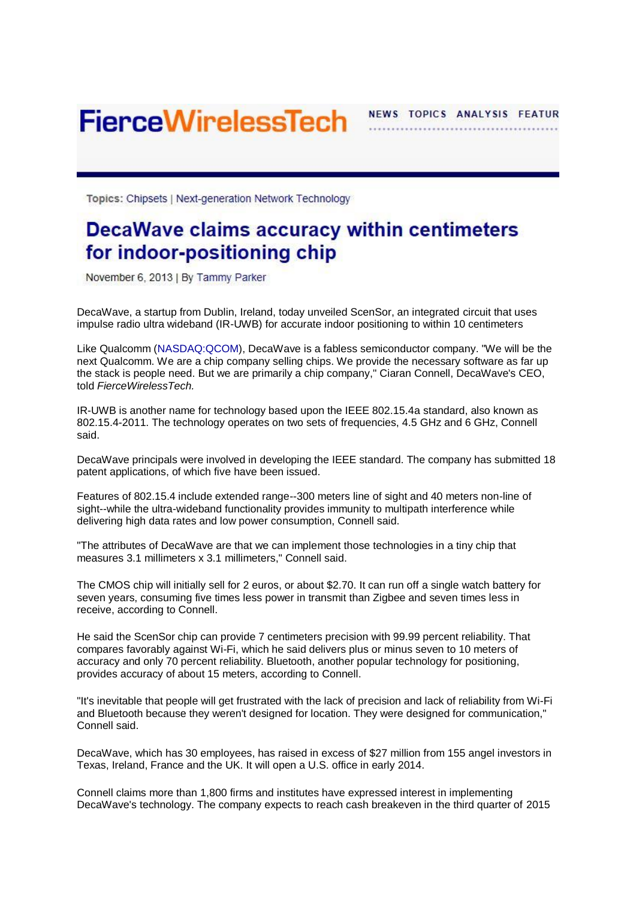**FierceWirelessTech** 

NEWS TOPICS ANALYSIS FEATUR

Topics: Chipsets | Next-generation Network Technology

## DecaWave claims accuracy within centimeters for indoor-positioning chip

November 6, 2013 | By Tammy Parker

DecaWave, a startup from Dublin, Ireland, today unveiled ScenSor, an integrated circuit that uses impulse radio ultra wideband (IR-UWB) for accurate indoor positioning to within 10 centimeters

Like Qualcomm [\(NASDAQ:QCOM\)](http://www.fiercewireless.com/tags/qualcomm), DecaWave is a fabless semiconductor company. "We will be the next Qualcomm. We are a chip company selling chips. We provide the necessary software as far up the stack is people need. But we are primarily a chip company," Ciaran Connell, DecaWave's CEO, told *FierceWirelessTech.* 

IR-UWB is another name for technology based upon the IEEE 802.15.4a standard, also known as 802.15.4-2011. The technology operates on two sets of frequencies, 4.5 GHz and 6 GHz, Connell said.

DecaWave principals were involved in developing the IEEE standard. The company has submitted 18 patent applications, of which five have been issued.

Features of 802.15.4 include extended range--300 meters line of sight and 40 meters non-line of sight--while the ultra-wideband functionality provides immunity to multipath interference while delivering high data rates and low power consumption, Connell said.

"The attributes of DecaWave are that we can implement those technologies in a tiny chip that measures 3.1 millimeters x 3.1 millimeters," Connell said.

The CMOS chip will initially sell for 2 euros, or about \$2.70. It can run off a single watch battery for seven years, consuming five times less power in transmit than Zigbee and seven times less in receive, according to Connell.

He said the ScenSor chip can provide 7 centimeters precision with 99.99 percent reliability. That compares favorably against Wi-Fi, which he said delivers plus or minus seven to 10 meters of accuracy and only 70 percent reliability. Bluetooth, another popular technology for positioning, provides accuracy of about 15 meters, according to Connell.

"It's inevitable that people will get frustrated with the lack of precision and lack of reliability from Wi-Fi and Bluetooth because they weren't designed for location. They were designed for communication," Connell said.

DecaWave, which has 30 employees, has raised in excess of \$27 million from 155 angel investors in Texas, Ireland, France and the UK. It will open a U.S. office in early 2014.

Connell claims more than 1,800 firms and institutes have expressed interest in implementing DecaWave's technology. The company expects to reach cash breakeven in the third quarter of 2015